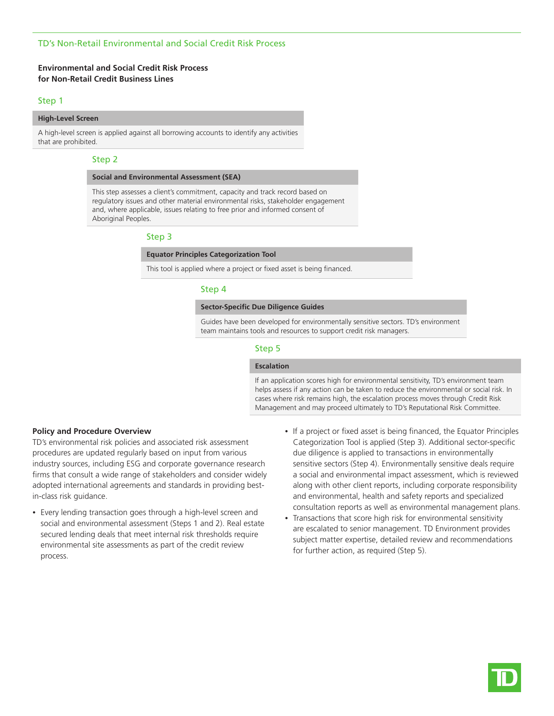## TD's Non-Retail Environmental and Social Credit Risk Process

## **Environmental and Social Credit Risk Process for Non-Retail Credit Business Lines**

#### Step 1

## **High-Level Screen**

A high-level screen is applied against all borrowing accounts to identify any activities that are prohibited.

### Step 2

#### **Social and Environmental Assessment (SEA)**

This step assesses a client's commitment, capacity and track record based on regulatory issues and other material environmental risks, stakeholder engagement and, where applicable, issues relating to free prior and informed consent of Aboriginal Peoples.

## Step 3

### **Equator Principles Categorization Tool**

This tool is applied where a project or fixed asset is being financed.

#### Step 4

#### **Sector-Specific Due Diligence Guides**

Guides have been developed for environmentally sensitive sectors. TD's environment team maintains tools and resources to support credit risk managers.

### Step 5

#### **Escalation**

If an application scores high for environmental sensitivity, TD's environment team helps assess if any action can be taken to reduce the environmental or social risk. In cases where risk remains high, the escalation process moves through Credit Risk Management and may proceed ultimately to TD's Reputational Risk Committee.

#### **Policy and Procedure Overview**

TD's environmental risk policies and associated risk assessment procedures are updated regularly based on input from various industry sources, including ESG and corporate governance research firms that consult a wide range of stakeholders and consider widely adopted international agreements and standards in providing bestin-class risk guidance.

- Every lending transaction goes through a high-level screen and social and environmental assessment (Steps 1 and 2). Real estate secured lending deals that meet internal risk thresholds require environmental site assessments as part of the credit review process.
- If a project or fixed asset is being financed, the Equator Principles Categorization Tool is applied (Step 3). Additional sector-specific due diligence is applied to transactions in environmentally sensitive sectors (Step 4). Environmentally sensitive deals require a social and environmental impact assessment, which is reviewed along with other client reports, including corporate responsibility and environmental, health and safety reports and specialized consultation reports as well as environmental management plans.
- Transactions that score high risk for environmental sensitivity are escalated to senior management. TD Environment provides subject matter expertise, detailed review and recommendations for further action, as required (Step 5).